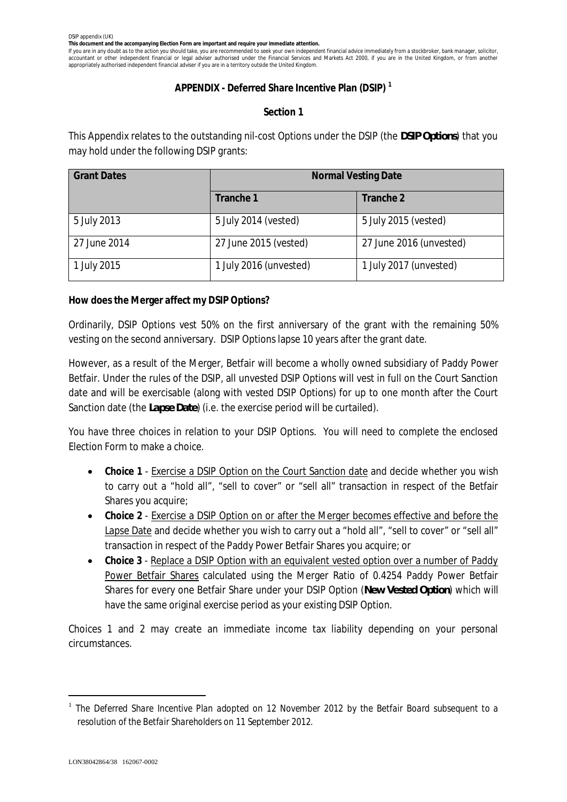**This document and the accompanying Election Form are important and require your immediate attention.**

If you are in any doubt as to the action you should take, you are recommended to seek your own independent financial advice immediately from a stockbroker, bank manager, solicitor, accountant or other independent financial or legal adviser authorised under the Financial Services and Markets Act 2000, if you are in the United Kingdom, or from another appropriately authorised independent financial adviser if you are in a territory outside the United Kingdom.

## **APPENDIX - Deferred Share Incentive Plan (DSIP) <sup>1</sup>**

## **Section 1**

This Appendix relates to the outstanding nil-cost Options under the DSIP (the *DSIP Options*) that you may hold under the following DSIP grants:

| <b>Grant Dates</b> | <b>Normal Vesting Date</b> |                         |
|--------------------|----------------------------|-------------------------|
|                    | Tranche 1                  | Tranche 2               |
| 5 July 2013        | 5 July 2014 (vested)       | 5 July 2015 (vested)    |
| 27 June 2014       | 27 June 2015 (vested)      | 27 June 2016 (unvested) |
| 1 July 2015        | 1 July 2016 (unvested)     | 1 July 2017 (unvested)  |

**How does the Merger affect my DSIP Options?**

Ordinarily, DSIP Options vest 50% on the first anniversary of the grant with the remaining 50% vesting on the second anniversary. DSIP Options lapse 10 years after the grant date.

However, as a result of the Merger, Betfair will become a wholly owned subsidiary of Paddy Power Betfair. Under the rules of the DSIP, all unvested DSIP Options will vest in full on the Court Sanction date and will be exercisable (along with vested DSIP Options) for up to one month after the Court Sanction date (the *Lapse Date*) (i.e. the exercise period will be curtailed).

You have three choices in relation to your DSIP Options. You will need to complete the enclosed Election Form to make a choice.

- · **Choice 1** Exercise a DSIP Option on the Court Sanction date and decide whether you wish to carry out a "hold all", "sell to cover" or "sell all" transaction in respect of the Betfair Shares you acquire;
- · **Choice 2** Exercise a DSIP Option on or after the Merger becomes effective and before the Lapse Date and decide whether you wish to carry out a "hold all", "sell to cover" or "sell all" transaction in respect of the Paddy Power Betfair Shares you acquire; or
- · **Choice 3** Replace a DSIP Option with an equivalent vested option over a number of Paddy Power Betfair Shares calculated using the Merger Ratio of 0.4254 Paddy Power Betfair Shares for every one Betfair Share under your DSIP Option (*New Vested Option*) which will have the same original exercise period as your existing DSIP Option.

Choices 1 and 2 may create an immediate income tax liability depending on your personal circumstances.

<sup>1</sup> *The Deferred Share Incentive Plan adopted on 12 November 2012 by the Betfair Board subsequent to a resolution of the Betfair Shareholders on 11 September 2012.*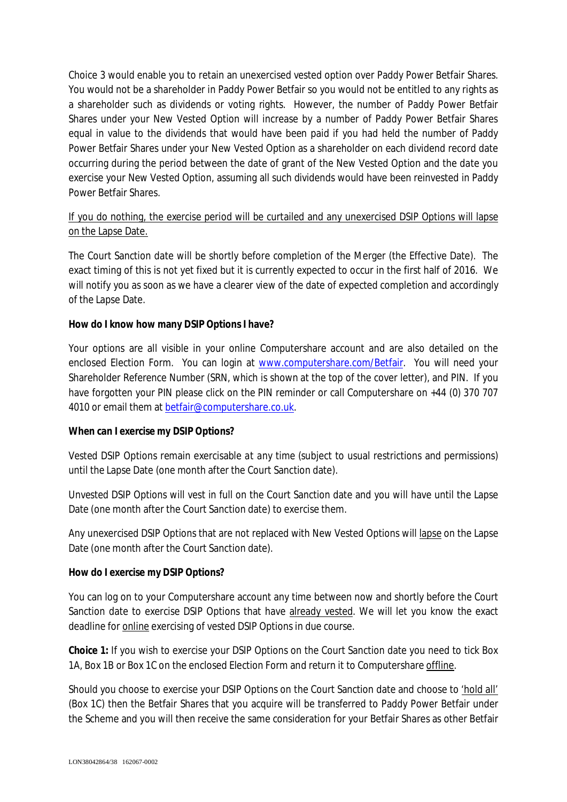Choice 3 would enable you to retain an unexercised vested option over Paddy Power Betfair Shares. You would not be a shareholder in Paddy Power Betfair so you would not be entitled to any rights as a shareholder such as dividends or voting rights. However, the number of Paddy Power Betfair Shares under your New Vested Option will increase by a number of Paddy Power Betfair Shares equal in value to the dividends that would have been paid if you had held the number of Paddy Power Betfair Shares under your New Vested Option as a shareholder on each dividend record date occurring during the period between the date of grant of the New Vested Option and the date you exercise your New Vested Option, assuming all such dividends would have been reinvested in Paddy Power Betfair Shares.

# If you do nothing, the exercise period will be curtailed and any unexercised DSIP Options will lapse on the Lapse Date.

The Court Sanction date will be shortly before completion of the Merger (the Effective Date). The exact timing of this is not yet fixed but it is currently expected to occur in the first half of 2016. We will notify you as soon as we have a clearer view of the date of expected completion and accordingly of the Lapse Date.

**How do I know how many DSIP Options I have?**

Your options are all visible in your online Computershare account and are also detailed on the enclosed Election Form. You can login at www.computershare.com/Betfair. You will need your Shareholder Reference Number (SRN, which is shown at the top of the cover letter), and PIN. If you have forgotten your PIN please click on the PIN reminder or call Computershare on +44 (0) 370 707 4010 or email them at betfair@computershare.co.uk.

# **When can I exercise my DSIP Options?**

*Vested* DSIP Options remain exercisable *at any time* (subject to usual restrictions and permissions) until the Lapse Date (one month after the Court Sanction date).

*Unvested* DSIP Options will vest in full on the Court Sanction date and you will have until the Lapse Date (one month after the Court Sanction date) to exercise them.

Any unexercised DSIP Options that are not replaced with New Vested Options will lapse on the Lapse Date (one month after the Court Sanction date).

## **How do I exercise my DSIP Options?**

You can log on to your Computershare account any time between now and shortly before the Court Sanction date to exercise DSIP Options that have already vested. We will let you know the exact deadline for **online** exercising of vested DSIP Options in due course.

**Choice 1:** If you wish to exercise your DSIP Options on the Court Sanction date you need to tick Box 1A, Box 1B or Box 1C on the enclosed Election Form and return it to Computershare offline.

Should you choose to exercise your DSIP Options on the Court Sanction date and choose to 'hold all' (Box 1C) then the Betfair Shares that you acquire will be transferred to Paddy Power Betfair under the Scheme and you will then receive the same consideration for your Betfair Shares as other Betfair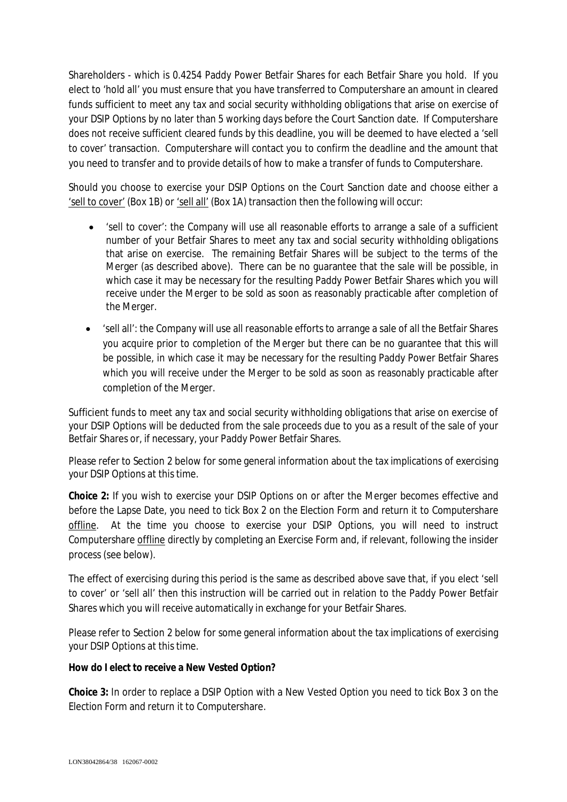Shareholders - which is 0.4254 Paddy Power Betfair Shares for each Betfair Share you hold. If you elect to 'hold all' you must ensure that you have transferred to Computershare an amount in cleared funds sufficient to meet any tax and social security withholding obligations that arise on exercise of your DSIP Options by no later than 5 working days before the Court Sanction date. If Computershare does not receive sufficient cleared funds by this deadline, you will be deemed to have elected a 'sell to cover' transaction. Computershare will contact you to confirm the deadline and the amount that you need to transfer and to provide details of how to make a transfer of funds to Computershare.

Should you choose to exercise your DSIP Options on the Court Sanction date and choose either a 'sell to cover' (Box 1B) or 'sell all' (Box 1A) transaction then the following will occur:

- · 'sell to cover': the Company will use all reasonable efforts to arrange a sale of a sufficient number of your Betfair Shares to meet any tax and social security withholding obligations that arise on exercise. The remaining Betfair Shares will be subject to the terms of the Merger (as described above). There can be no guarantee that the sale will be possible, in which case it may be necessary for the resulting Paddy Power Betfair Shares which you will receive under the Merger to be sold as soon as reasonably practicable after completion of the Merger.
- · 'sell all': the Company will use all reasonable efforts to arrange a sale of all the Betfair Shares you acquire prior to completion of the Merger but there can be no guarantee that this will be possible, in which case it may be necessary for the resulting Paddy Power Betfair Shares which you will receive under the Merger to be sold as soon as reasonably practicable after completion of the Merger.

Sufficient funds to meet any tax and social security withholding obligations that arise on exercise of your DSIP Options will be deducted from the sale proceeds due to you as a result of the sale of your Betfair Shares or, if necessary, your Paddy Power Betfair Shares.

Please refer to Section 2 below for some general information about the tax implications of exercising your DSIP Options at this time.

**Choice 2:** If you wish to exercise your DSIP Options on or after the Merger becomes effective and before the Lapse Date, you need to tick Box 2 on the Election Form and return it to Computershare offline. At the time you choose to exercise your DSIP Options, you will need to instruct Computershare offline directly by completing an Exercise Form and, if relevant, following the insider process (see below).

The effect of exercising during this period is the same as described above save that, if you elect 'sell to cover' or 'sell all' then this instruction will be carried out in relation to the Paddy Power Betfair Shares which you will receive automatically in exchange for your Betfair Shares.

Please refer to Section 2 below for some general information about the tax implications of exercising your DSIP Options at this time.

**How do I elect to receive a New Vested Option?**

**Choice 3:** In order to replace a DSIP Option with a New Vested Option you need to tick Box 3 on the Election Form and return it to Computershare.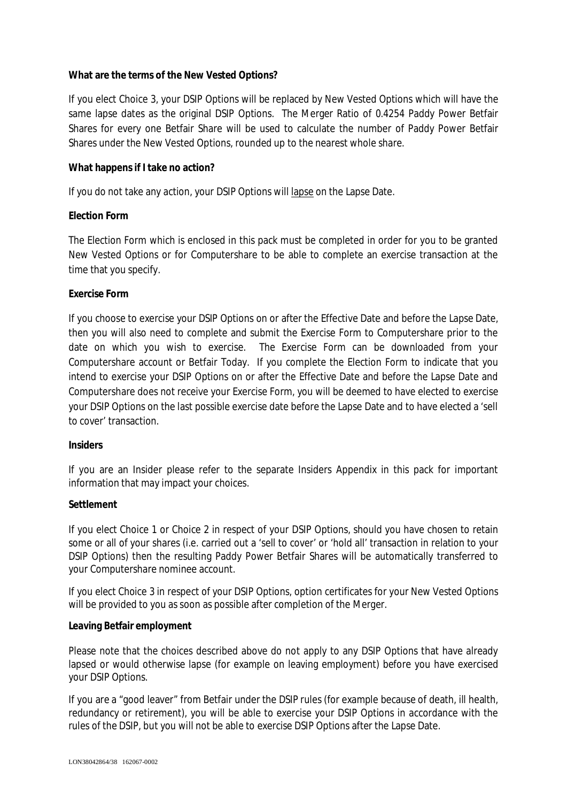## **What are the terms of the New Vested Options?**

If you elect Choice 3, your DSIP Options will be replaced by New Vested Options which will have the same lapse dates as the original DSIP Options. The Merger Ratio of 0.4254 Paddy Power Betfair Shares for every one Betfair Share will be used to calculate the number of Paddy Power Betfair Shares under the New Vested Options, rounded up to the nearest whole share.

## **What happens if I take no action?**

If you do not take any action, your DSIP Options will lapse on the Lapse Date.

## **Election Form**

The Election Form which is enclosed in this pack must be completed in order for you to be granted New Vested Options or for Computershare to be able to complete an exercise transaction at the time that you specify.

### **Exercise Form**

If you choose to exercise your DSIP Options on or after the Effective Date and before the Lapse Date, then you will also need to complete and submit the Exercise Form to Computershare prior to the date on which you wish to exercise. The Exercise Form can be downloaded from your Computershare account or Betfair Today. If you complete the Election Form to indicate that you intend to exercise your DSIP Options on or after the Effective Date and before the Lapse Date and Computershare does not receive your Exercise Form, you will be deemed to have elected to exercise your DSIP Options on the last possible exercise date before the Lapse Date and to have elected a 'sell to cover' transaction.

#### **Insiders**

If you are an Insider please refer to the separate Insiders Appendix in this pack for important information that may impact your choices.

#### **Settlement**

If you elect Choice 1 or Choice 2 in respect of your DSIP Options, should you have chosen to retain some or all of your shares (i.e. carried out a 'sell to cover' or 'hold all' transaction in relation to your DSIP Options) then the resulting Paddy Power Betfair Shares will be automatically transferred to your Computershare nominee account.

If you elect Choice 3 in respect of your DSIP Options, option certificates for your New Vested Options will be provided to you as soon as possible after completion of the Merger.

#### **Leaving Betfair employment**

Please note that the choices described above do not apply to any DSIP Options that have already lapsed or would otherwise lapse (for example on leaving employment) before you have exercised your DSIP Options.

If you are a "good leaver" from Betfair under the DSIP rules (for example because of death, ill health, redundancy or retirement), you will be able to exercise your DSIP Options in accordance with the rules of the DSIP, but you will not be able to exercise DSIP Options after the Lapse Date.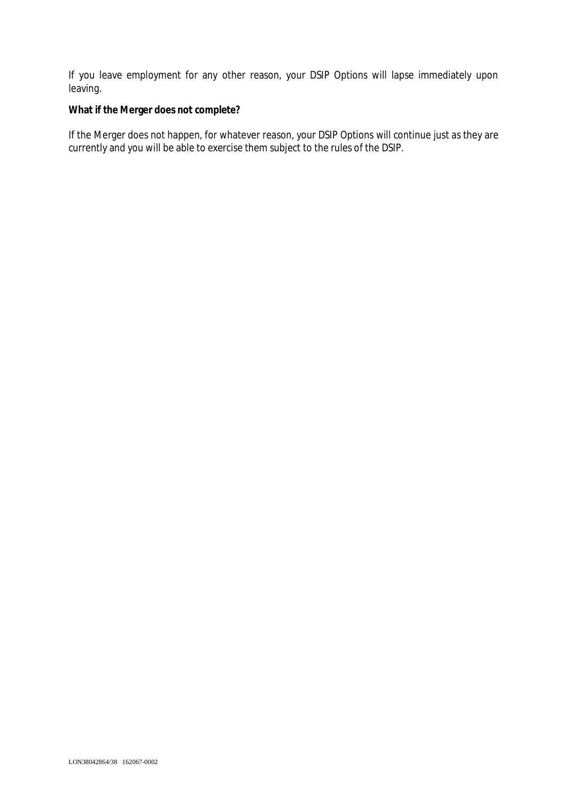If you leave employment for any other reason, your DSIP Options will lapse immediately upon leaving.

**What if the Merger does not complete?**

If the Merger does not happen, for whatever reason, your DSIP Options will continue just as they are currently and you will be able to exercise them subject to the rules of the DSIP.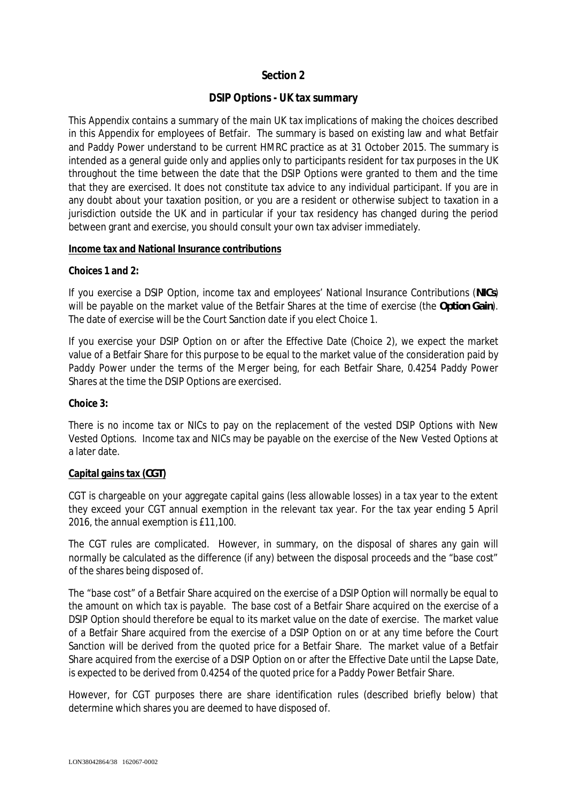# **Section 2**

# **DSIP Options - UK tax summary**

This Appendix contains a summary of the main UK tax implications of making the choices described in this Appendix for employees of Betfair. The summary is based on existing law and what Betfair and Paddy Power understand to be current HMRC practice as at 31 October 2015. The summary is intended as a general guide only and applies only to participants resident for tax purposes in the UK throughout the time between the date that the DSIP Options were granted to them and the time that they are exercised. It does not constitute tax advice to any individual participant. If you are in any doubt about your taxation position, or you are a resident or otherwise subject to taxation in a jurisdiction outside the UK and in particular if your tax residency has changed during the period between grant and exercise, you should consult your own tax adviser immediately.

### **Income tax and National Insurance contributions**

**Choices 1 and 2:**

If you exercise a DSIP Option, income tax and employees' National Insurance Contributions (*NICs*) will be payable on the market value of the Betfair Shares at the time of exercise (the *Option Gain*). The date of exercise will be the Court Sanction date if you elect Choice 1.

If you exercise your DSIP Option on or after the Effective Date (Choice 2), we expect the market value of a Betfair Share for this purpose to be equal to the market value of the consideration paid by Paddy Power under the terms of the Merger being, for each Betfair Share, 0.4254 Paddy Power Shares at the time the DSIP Options are exercised.

**Choice 3:**

There is no income tax or NICs to pay on the replacement of the vested DSIP Options with New Vested Options. Income tax and NICs may be payable on the exercise of the New Vested Options at a later date.

## **Capital gains tax (***CGT***)**

CGT is chargeable on your aggregate capital gains (less allowable losses) in a tax year to the extent they exceed your CGT annual exemption in the relevant tax year. For the tax year ending 5 April 2016, the annual exemption is £11,100.

The CGT rules are complicated. However, in summary, on the disposal of shares any gain will normally be calculated as the difference (if any) between the disposal proceeds and the "base cost" of the shares being disposed of.

The "base cost" of a Betfair Share acquired on the exercise of a DSIP Option will normally be equal to the amount on which tax is payable. The base cost of a Betfair Share acquired on the exercise of a DSIP Option should therefore be equal to its market value on the date of exercise. The market value of a Betfair Share acquired from the exercise of a DSIP Option on or at any time before the Court Sanction will be derived from the quoted price for a Betfair Share. The market value of a Betfair Share acquired from the exercise of a DSIP Option on or after the Effective Date until the Lapse Date, is expected to be derived from 0.4254 of the quoted price for a Paddy Power Betfair Share.

However, for CGT purposes there are share identification rules (described briefly below) that determine which shares you are deemed to have disposed of.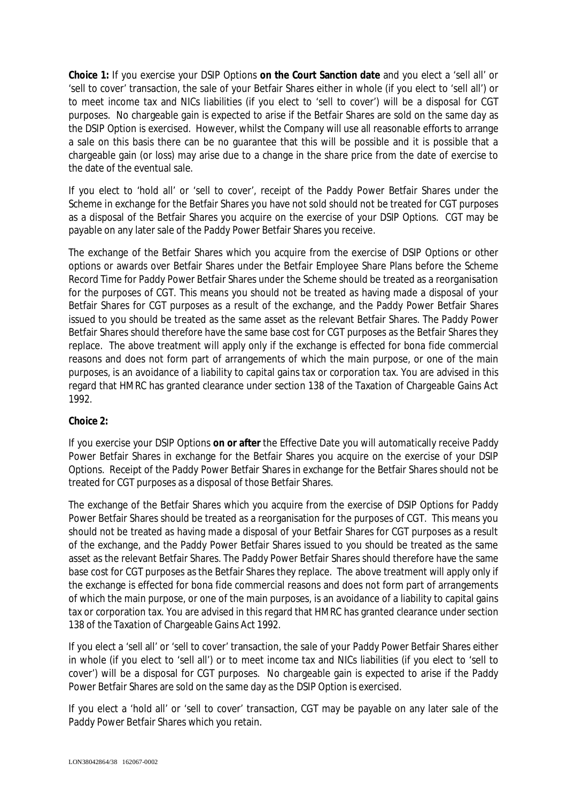**Choice 1:** If you exercise your DSIP Options **on the Court Sanction date** and you elect a 'sell all' or 'sell to cover' transaction, the sale of your Betfair Shares either in whole (if you elect to 'sell all') or to meet income tax and NICs liabilities (if you elect to 'sell to cover') will be a disposal for CGT purposes. No chargeable gain is expected to arise if the Betfair Shares are sold on the same day as the DSIP Option is exercised. However, whilst the Company will use all reasonable efforts to arrange a sale on this basis there can be no guarantee that this will be possible and it is possible that a chargeable gain (or loss) may arise due to a change in the share price from the date of exercise to the date of the eventual sale.

If you elect to 'hold all' or 'sell to cover', receipt of the Paddy Power Betfair Shares under the Scheme in exchange for the Betfair Shares you have not sold should not be treated for CGT purposes as a disposal of the Betfair Shares you acquire on the exercise of your DSIP Options. CGT may be payable on any later sale of the Paddy Power Betfair Shares you receive.

The exchange of the Betfair Shares which you acquire from the exercise of DSIP Options or other options or awards over Betfair Shares under the Betfair Employee Share Plans before the Scheme Record Time for Paddy Power Betfair Shares under the Scheme should be treated as a reorganisation for the purposes of CGT. This means you should not be treated as having made a disposal of your Betfair Shares for CGT purposes as a result of the exchange, and the Paddy Power Betfair Shares issued to you should be treated as the same asset as the relevant Betfair Shares. The Paddy Power Betfair Shares should therefore have the same base cost for CGT purposes as the Betfair Shares they replace. The above treatment will apply only if the exchange is effected for bona fide commercial reasons and does not form part of arrangements of which the main purpose, or one of the main purposes, is an avoidance of a liability to capital gains tax or corporation tax. You are advised in this regard that HMRC has granted clearance under section 138 of the Taxation of Chargeable Gains Act 1992.

## **Choice 2:**

If you exercise your DSIP Options **on or after** the Effective Date you will automatically receive Paddy Power Betfair Shares in exchange for the Betfair Shares you acquire on the exercise of your DSIP Options. Receipt of the Paddy Power Betfair Shares in exchange for the Betfair Shares should not be treated for CGT purposes as a disposal of those Betfair Shares.

The exchange of the Betfair Shares which you acquire from the exercise of DSIP Options for Paddy Power Betfair Shares should be treated as a reorganisation for the purposes of CGT. This means you should not be treated as having made a disposal of your Betfair Shares for CGT purposes as a result of the exchange, and the Paddy Power Betfair Shares issued to you should be treated as the same asset as the relevant Betfair Shares. The Paddy Power Betfair Shares should therefore have the same base cost for CGT purposes as the Betfair Shares they replace. The above treatment will apply only if the exchange is effected for bona fide commercial reasons and does not form part of arrangements of which the main purpose, or one of the main purposes, is an avoidance of a liability to capital gains tax or corporation tax. You are advised in this regard that HMRC has granted clearance under section 138 of the Taxation of Chargeable Gains Act 1992.

If you elect a 'sell all' or 'sell to cover' transaction, the sale of your Paddy Power Betfair Shares either in whole (if you elect to 'sell all') or to meet income tax and NICs liabilities (if you elect to 'sell to cover') will be a disposal for CGT purposes. No chargeable gain is expected to arise if the Paddy Power Betfair Shares are sold on the same day as the DSIP Option is exercised.

If you elect a 'hold all' or 'sell to cover' transaction, CGT may be payable on any later sale of the Paddy Power Betfair Shares which you retain.